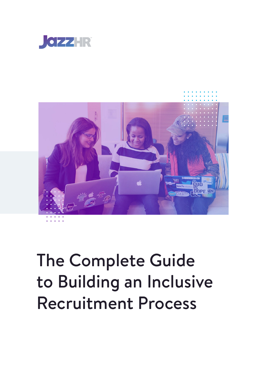



### The Complete Guide to Building an Inclusive Recruitment Process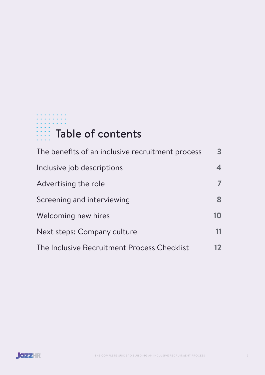### . . . . . . . Table of contents

| The benefits of an inclusive recruitment process | $\mathbf{3}$ |
|--------------------------------------------------|--------------|
| Inclusive job descriptions                       | 4            |
| Advertising the role                             |              |
| Screening and interviewing                       | 8            |
| Welcoming new hires                              | 10           |
| Next steps: Company culture                      | 11           |
| The Inclusive Recruitment Process Checklist      | 12           |

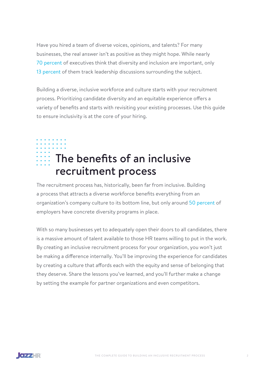<span id="page-2-0"></span>Have you hired a team of diverse voices, opinions, and talents? For many businesses, the real answer isn't as positive as they might hope. While nearly [70 percent](https://www.glassdoor.com/employers/blog/6-hr-recruiting-stats-you-need-to-know-for-2018-and-beyond/) of executives think that diversity and inclusion are important, only [13 percent](https://www.robertwalters.co.uk/content/dam/robert-walters/country/united-kingdom/files/whitepapers/Diversity-In-Recruitment-Whitepaper-web.pdf) of them track leadership discussions surrounding the subject.

Building a diverse, inclusive workforce and culture starts with your recruitment process. Prioritizing candidate diversity and an equitable experience offers a variety of benefits and starts with revisiting your existing processes. Use this guide to ensure inclusivity is at the core of your hiring.

### $\cdots$  The benefits of an inclusive recruitment process

The recruitment process has, historically, been far from inclusive. Building a process that attracts a diverse workforce benefits everything from an organization's company culture to its bottom line, but only around [50 percent](https://harver.com/blog/inclusive-recruitment/#:~:text=Inclusive%20recruitment%20is%20the%20process,than%20just%20gender%20or%20race.) of employers have concrete diversity programs in place.

With so many businesses yet to adequately open their doors to all candidates, there is a massive amount of talent available to those HR teams willing to put in the work. By creating an inclusive recruitment process for your organization, you won't just be making a difference internally. You'll be improving the experience for candidates by creating a culture that affords each with the equity and sense of belonging that they deserve. Share the lessons you've learned, and you'll further make a change by setting the example for partner organizations and even competitors.

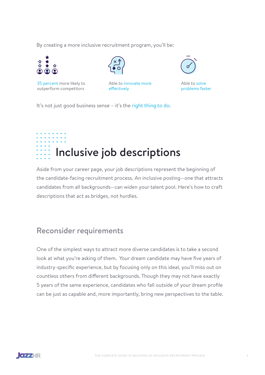<span id="page-3-0"></span>By creating a more inclusive recruitment program, you'll be:







Able to [innovate more](https://www.researchgate.net/publication/284811596_The_elusive_effects_of_workplace_diversity_on_innovation)  [effectively](https://www.researchgate.net/publication/284811596_The_elusive_effects_of_workplace_diversity_on_innovation)



Able to [solve](https://hbr.org/2017/03/teams-solve-problems-faster-when-theyre-more-cognitively-diverse)  [problems faster](https://hbr.org/2017/03/teams-solve-problems-faster-when-theyre-more-cognitively-diverse) 

It's not just good business sense – it's the [right thing to do](https://www.smartrecruiters.com/blog/diversity-and-inclusion-you-know-its-the-right-thing-so-why-is-it-so-difficult/).

# Inclusive job descriptions

Aside from your career page, your job descriptions represent the beginning of the candidate-facing recruitment process. An inclusive posting—one that attracts candidates from all backgrounds—can widen your talent pool. Here's how to craft descriptions that act as bridges, not hurdles.

#### Reconsider requirements

One of the simplest ways to attract more diverse candidates is to take a second look at what you're asking of them. Your dream candidate may have five years of industry-specific experience, but by focusing only on this ideal, you'll miss out on countless others from different backgrounds. Though they may not have exactly 5 years of the same experience, candidates who fall outside of your dream profile can be just as capable and, more importantly, bring new perspectives to the table.

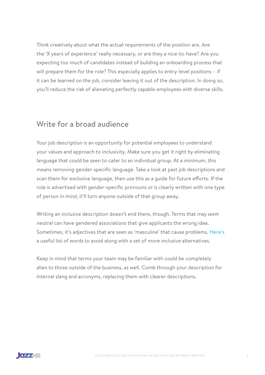Think creatively about what the actual requirements of the position are. Are the 'X years of experience' really necessary, or are they a nice-to-have? Are you expecting too much of candidates instead of building an onboarding process that will prepare them for the role? This especially applies to entry-level positions – if it can be learned on the job, consider leaving it out of the description. In doing so, you'll reduce the risk of alienating perfectly capable employees with diverse skills.

#### Write for a broad audience

Your job description is an opportunity for potential employees to understand your values and approach to inclusivity. Make sure you get it right by eliminating language that could be seen to cater to an individual group. At a minimum, this means removing gender-specific language. Take a look at past job descriptions and scan them for exclusive language, then use this as a guide for future efforts. If the role is advertised with gender-specific pronouns or is clearly written with one type of person in mind, it'll turn anyone outside of that group away.

Writing an inclusive description doesn't end there, though. Terms that may *seem* neutral can have gendered associations that give applicants the wrong idea. Sometimes, it's adjectives that are seen as 'masculine' that cause problems. [Here's](https://business.linkedin.com/talent-solutions/blog/job-descriptions/2016/17-words-that-are-turning-women-away-from-your-jobs) a useful list of words to avoid along with a set of more inclusive alternatives.

Keep in mind that terms your team may be familiar with could be completely alien to those outside of the business, as well. Comb through your description for internal slang and acronyms, replacing them with clearer descriptions.

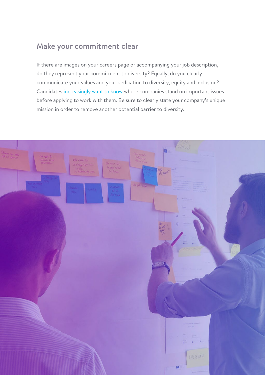#### Make your commitment clear

If there are images on your careers page or accompanying your job description, do they represent your commitment to diversity? Equally, do you clearly communicate your values and your dedication to diversity, equity and inclusion? Candidates [increasingly want to know](https://harver.com/blog/values-based-recruitment/) where companies stand on important issues before applying to work with them. Be sure to clearly state your company's unique mission in order to remove another potential barrier to diversity.

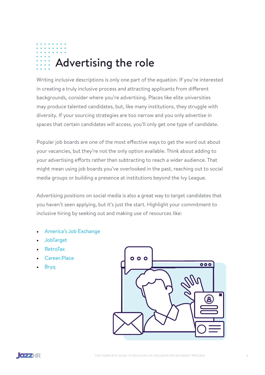### <span id="page-6-0"></span>Advertising the role

Writing inclusive descriptions is only one part of the equation. If you're interested in creating a truly inclusive process and attracting applicants from different backgrounds, consider where you're advertising. Places like elite universities may produce talented candidates, but, like many institutions, they struggle with diversity. If your sourcing strategies are too narrow and you only advertise in spaces that certain candidates will access, you'll only get one type of candidate.

Popular job boards are one of the most effective ways to get the word out about your vacancies, but they're not the only option available. Think about adding to your advertising efforts rather than subtracting to reach a wider audience. That might mean using job boards you've overlooked in the past, reaching out to social media groups or building a presence at institutions beyond the Ivy League.

Advertising positions on social media is also a great way to target candidates that you haven't seen applying, but it's just the start. Highlight your commitment to inclusive hiring by seeking out and making use of resources like:

- [America's Job Exchange](https://marketplace.jazzhr.com/providers/americas-job-exchange/)
- [JobTarget](https://marketplace.jazzhr.com/providers/jobtarget/)
- [RetroTax](https://marketplace.jazzhr.com/providers/retrotax/)
- [Career.Place](https://marketplace.jazzhr.com/providers/career-place/
)
- [Bryq](https://marketplace.jazzhr.com/providers/bryq/
)



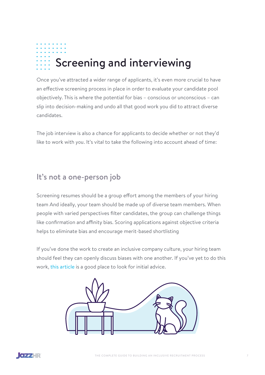## <span id="page-7-0"></span>Screening and interviewing

Once you've attracted a wider range of applicants, it's even more crucial to have an effective screening process in place in order to evaluate your candidate pool objectively. This is where the potential for bias – conscious or unconscious – can slip into decision-making and undo all that good work you did to attract diverse candidates.

The job interview is also a chance for applicants to decide whether or not they'd like to work with *you*. It's vital to take the following into account ahead of time:

#### It's not a one-person job

Screening resumes should be a group effort among the members of your hiring team And ideally, your team should be made up of diverse team members. When people with varied perspectives filter candidates, the group can challenge things like confirmation and affinity bias. Scoring applications against objective criteria helps to eliminate bias and encourage merit-based shortlisting

If you've done the work to create an inclusive company culture, your hiring team should feel they can openly discuss biases with one another. If you've yet to do this work, [this article](https://www.tidalequality.com/blog/dont-do-unconscious-bias-training) is a good place to look for initial advice.



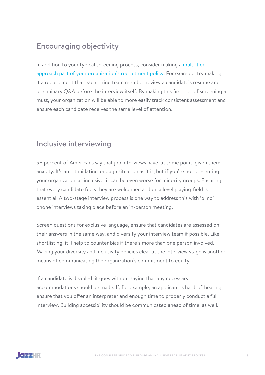### Encouraging objectivity

In addition to your typical screening process, consider making a [multi-tier](http://In addition to your typical screening process, consider making a multi-tier approach part of your organization’s recruitment policy. For example, try making it a requirement that each hiring team member review a candidate’s resume and preliminary Q&A before the interview itself. By making this first-tier of screening a must, your organization will be able to more easily track consistent assessment and ensure each candidate receives the same level of attention.
)  [approach part of your organization's recruitment policy](http://In addition to your typical screening process, consider making a multi-tier approach part of your organization’s recruitment policy. For example, try making it a requirement that each hiring team member review a candidate’s resume and preliminary Q&A before the interview itself. By making this first-tier of screening a must, your organization will be able to more easily track consistent assessment and ensure each candidate receives the same level of attention.
). For example, try making it a requirement that each hiring team member review a candidate's resume and preliminary Q&A before the interview itself. By making this first-tier of screening a must, your organization will be able to more easily track consistent assessment and ensure each candidate receives the same level of attention.

#### Inclusive interviewing

93 percent of Americans say that job interviews have, at some point, given them anxiety. It's an intimidating-enough situation as it is, but if you're not presenting your organization as inclusive, it can be even worse for minority groups. Ensuring that every candidate feels they are welcomed and on a level playing-field is essential. A two-stage interview process is one way to address this with 'blind' phone interviews taking place before an in-person meeting.

Screen questions for exclusive language, ensure that candidates are assessed on their answers in the same way, and diversify your interview team if possible. Like shortlisting, it'll help to counter bias if there's more than one person involved. Making your diversity and inclusivity policies clear at the interview stage is another means of communicating the organization's commitment to equity.

If a candidate is disabled, it goes without saying that any necessary accommodations should be made. If, for example, an applicant is hard-of-hearing, ensure that you offer an interpreter and enough time to properly conduct a full interview. Building accessibility should be communicated ahead of time, as well.

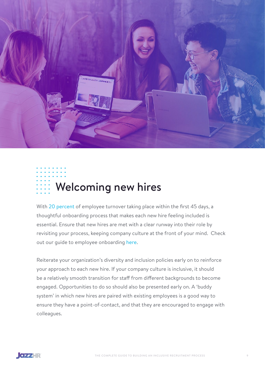<span id="page-9-0"></span>

### Welcoming new hires

With [20 percent](https://hbr.org/2018/12/to-retain-new-hires-spend-more-time-onboarding-them) of employee turnover taking place within the first 45 days, a thoughtful onboarding process that makes each new hire feeling included is essential. Ensure that new hires are met with a clear runway into their role by revisiting your process, keeping company culture at the front of your mind. Check out our guide to employee onboarding [here](https://www.jazzhr.com/blog/6-tips-making-onboarding-process-even-better/).

Reiterate your organization's diversity and inclusion policies early on to reinforce your approach to each new hire. If your company culture is inclusive, it should be a relatively smooth transition for staff from different backgrounds to become engaged. Opportunities to do so should also be presented early on. A 'buddy system' in which new hires are paired with existing employees is a good way to ensure they have a point-of-contact, and that they are encouraged to engage with colleagues.

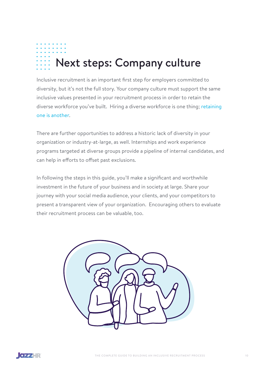# <span id="page-10-0"></span>Next steps: Company culture

Inclusive recruitment is an important first step for employers committed to diversity, but it's not the full story. Your company culture must support the same inclusive values presented in your recruitment process in order to retain the diverse workforce you've built. Hiring a diverse workforce is one thing; [retaining](https://www.jazzhr.com/blog/identifying-and-shaping-existing-workplace-culture/)  [one is another](https://www.jazzhr.com/blog/identifying-and-shaping-existing-workplace-culture/).

There are further opportunities to address a historic lack of diversity in your organization or industry-at-large, as well. Internships and work experience programs targeted at diverse groups provide a pipeline of internal candidates, and can help in efforts to offset past exclusions.

In following the steps in this guide, you'll make a significant and worthwhile investment in the future of your business and in society at large. Share your journey with your social media audience, your clients, and your competitors to present a transparent view of your organization. Encouraging others to evaluate their recruitment process can be valuable, too.